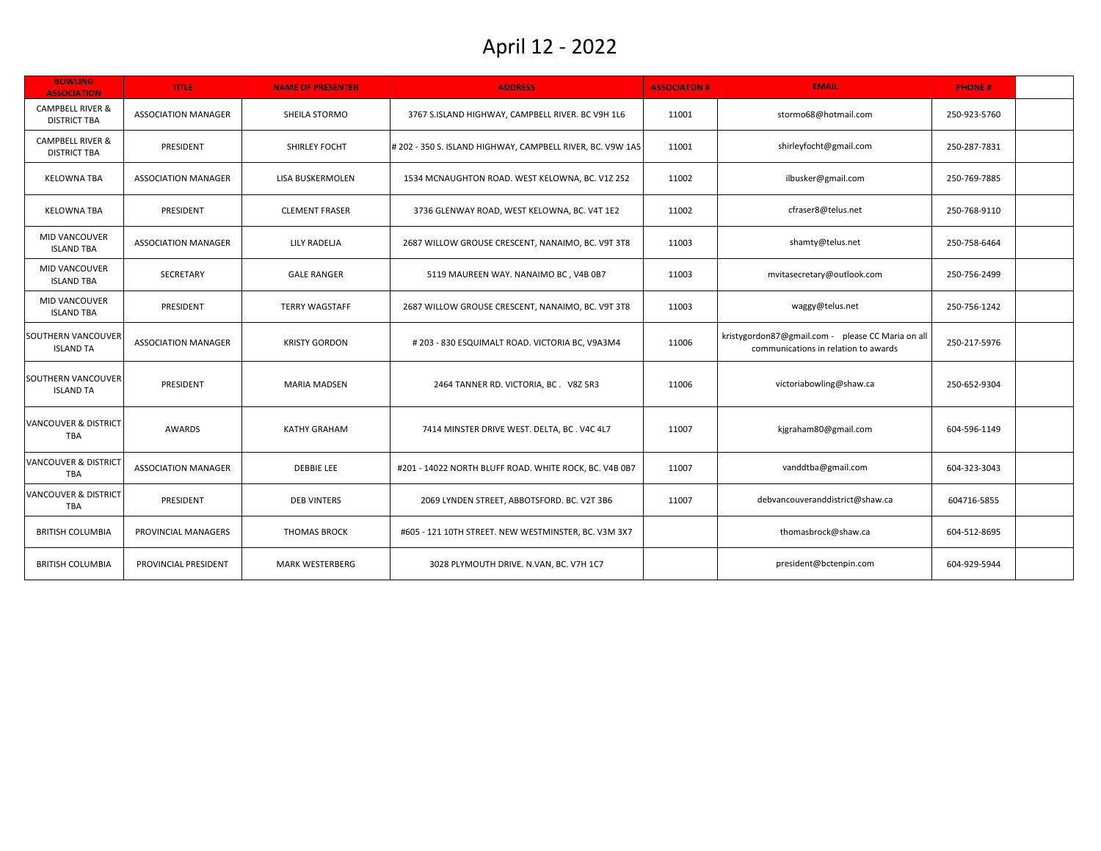| <b>BOWLING</b><br><b>ASSOCIATION</b>               | <b>TITLE</b>               | <b>NAME OF PRESENTER</b> | <b>ADDRESS</b>                                             | <b>ASSOCIATON#</b> | <b>EMAIL</b>                                                                              | <b>PHONE#</b> |  |
|----------------------------------------------------|----------------------------|--------------------------|------------------------------------------------------------|--------------------|-------------------------------------------------------------------------------------------|---------------|--|
| <b>CAMPBELL RIVER &amp;</b><br><b>DISTRICT TBA</b> | <b>ASSOCIATION MANAGER</b> | SHEILA STORMO            | 3767 S.ISLAND HIGHWAY, CAMPBELL RIVER. BC V9H 1L6          | 11001              | stormo68@hotmail.com                                                                      | 250-923-5760  |  |
| <b>CAMPBELL RIVER &amp;</b><br><b>DISTRICT TBA</b> | PRESIDENT                  | SHIRLEY FOCHT            | # 202 - 350 S. ISLAND HIGHWAY, CAMPBELL RIVER, BC. V9W 1A5 | 11001              | shirleyfocht@gmail.com                                                                    | 250-287-7831  |  |
| <b>KELOWNA TBA</b>                                 | <b>ASSOCIATION MANAGER</b> | LISA BUSKERMOLEN         | 1534 MCNAUGHTON ROAD. WEST KELOWNA, BC. V1Z 2S2            | 11002              | ilbusker@gmail.com                                                                        | 250-769-7885  |  |
| <b>KELOWNA TBA</b>                                 | PRESIDENT                  | <b>CLEMENT FRASER</b>    | 3736 GLENWAY ROAD, WEST KELOWNA, BC. V4T 1E2               | 11002              | cfraser8@telus.net                                                                        | 250-768-9110  |  |
| MID VANCOUVER<br><b>ISLAND TBA</b>                 | ASSOCIATION MANAGER        | LILY RADELJA             | 2687 WILLOW GROUSE CRESCENT, NANAIMO, BC. V9T 3T8          | 11003              | shamty@telus.net                                                                          | 250-758-6464  |  |
| MID VANCOUVER<br><b>ISLAND TBA</b>                 | <b>SECRETARY</b>           | <b>GALE RANGER</b>       | 5119 MAUREEN WAY. NANAIMO BC, V4B 0B7                      | 11003              | mvitasecretary@outlook.com                                                                | 250-756-2499  |  |
| MID VANCOUVER<br><b>ISLAND TBA</b>                 | PRESIDENT                  | <b>TERRY WAGSTAFF</b>    | 2687 WILLOW GROUSE CRESCENT, NANAIMO, BC. V9T 3T8          | 11003              | waggy@telus.net                                                                           | 250-756-1242  |  |
| SOUTHERN VANCOUVER<br><b>ISLAND TA</b>             | ASSOCIATION MANAGER        | <b>KRISTY GORDON</b>     | #203 - 830 ESQUIMALT ROAD. VICTORIA BC, V9A3M4             | 11006              | kristygordon87@gmail.com - please CC Maria on all<br>communications in relation to awards | 250-217-5976  |  |
| SOUTHERN VANCOUVER<br><b>ISLAND TA</b>             | PRESIDENT                  | <b>MARIA MADSEN</b>      | 2464 TANNER RD. VICTORIA, BC. V8Z 5R3                      | 11006              | victoriabowling@shaw.ca                                                                   | 250-652-9304  |  |
| <b>VANCOUVER &amp; DISTRICT</b><br><b>TBA</b>      | AWARDS                     | <b>KATHY GRAHAM</b>      | 7414 MINSTER DRIVE WEST. DELTA, BC. V4C 4L7                | 11007              | kjgraham80@gmail.com                                                                      | 604-596-1149  |  |
| <b>VANCOUVER &amp; DISTRICT</b><br><b>TBA</b>      | <b>ASSOCIATION MANAGER</b> | <b>DEBBIE LEE</b>        | #201 - 14022 NORTH BLUFF ROAD. WHITE ROCK, BC. V4B 0B7     | 11007              | vanddtba@gmail.com                                                                        | 604-323-3043  |  |
| <b>VANCOUVER &amp; DISTRICT</b><br><b>TBA</b>      | PRESIDENT                  | <b>DEB VINTERS</b>       | 2069 LYNDEN STREET, ABBOTSFORD. BC. V2T 3B6                | 11007              | debvancouveranddistrict@shaw.ca                                                           | 604716-5855   |  |
| <b>BRITISH COLUMBIA</b>                            | PROVINCIAL MANAGERS        | <b>THOMAS BROCK</b>      | #605 - 121 10TH STREET. NEW WESTMINSTER, BC. V3M 3X7       |                    | thomasbrock@shaw.ca                                                                       | 604-512-8695  |  |
| <b>BRITISH COLUMBIA</b>                            | PROVINCIAL PRESIDENT       | <b>MARK WESTERBERG</b>   | 3028 PLYMOUTH DRIVE. N.VAN, BC. V7H 1C7                    |                    | president@bctenpin.com                                                                    | 604-929-5944  |  |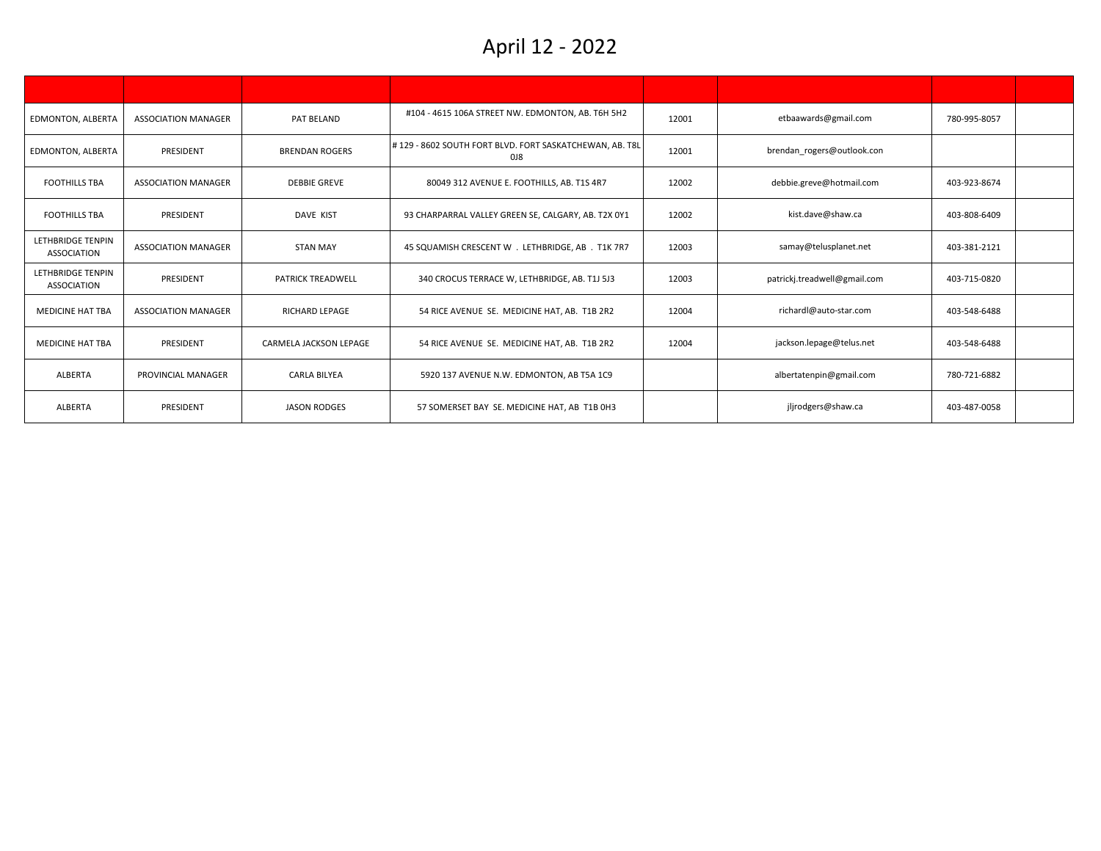| <b>EDMONTON, ALBERTA</b>                       | <b>ASSOCIATION MANAGER</b> | PAT BELAND               | #104 - 4615 106A STREET NW. EDMONTON, AB. T6H 5H2              | 12001 | etbaawards@gmail.com         | 780-995-8057 |  |
|------------------------------------------------|----------------------------|--------------------------|----------------------------------------------------------------|-------|------------------------------|--------------|--|
| EDMONTON, ALBERTA                              | PRESIDENT                  | <b>BRENDAN ROGERS</b>    | #129 - 8602 SOUTH FORT BLVD. FORT SASKATCHEWAN, AB. T8L<br>018 | 12001 | brendan rogers@outlook.con   |              |  |
| <b>FOOTHILLS TBA</b>                           | <b>ASSOCIATION MANAGER</b> | <b>DEBBIE GREVE</b>      | 80049 312 AVENUE E. FOOTHILLS, AB. T1S 4R7                     | 12002 | debbie.greve@hotmail.com     | 403-923-8674 |  |
| <b>FOOTHILLS TBA</b>                           | PRESIDENT                  | DAVE KIST                | 93 CHARPARRAL VALLEY GREEN SE, CALGARY, AB. T2X 0Y1            | 12002 | kist.dave@shaw.ca            | 403-808-6409 |  |
| <b>LETHBRIDGE TENPIN</b><br><b>ASSOCIATION</b> | <b>ASSOCIATION MANAGER</b> | <b>STAN MAY</b>          | 45 SQUAMISH CRESCENT W . LETHBRIDGE, AB . T1K 7R7              | 12003 | samay@telusplanet.net        | 403-381-2121 |  |
| <b>LETHBRIDGE TENPIN</b><br><b>ASSOCIATION</b> | PRESIDENT                  | <b>PATRICK TREADWELL</b> | 340 CROCUS TERRACE W, LETHBRIDGE, AB. T1J 5J3                  | 12003 | patrickj.treadwell@gmail.com | 403-715-0820 |  |
| <b>MEDICINE HAT TBA</b>                        | <b>ASSOCIATION MANAGER</b> | RICHARD LEPAGE           | 54 RICE AVENUE SE. MEDICINE HAT, AB. T1B 2R2                   | 12004 | richardl@auto-star.com       | 403-548-6488 |  |
| <b>MEDICINE HAT TBA</b>                        | PRESIDENT                  | CARMELA JACKSON LEPAGE   | 54 RICE AVENUE SE. MEDICINE HAT, AB. T1B 2R2                   | 12004 | jackson.lepage@telus.net     | 403-548-6488 |  |
| ALBERTA                                        | PROVINCIAL MANAGER         | <b>CARLA BILYEA</b>      | 5920 137 AVENUE N.W. EDMONTON, AB T5A 1C9                      |       | albertatenpin@gmail.com      | 780-721-6882 |  |
| ALBERTA                                        | PRESIDENT                  | <b>JASON RODGES</b>      | 57 SOMERSET BAY SE. MEDICINE HAT, AB T1B 0H3                   |       | jljrodgers@shaw.ca           | 403-487-0058 |  |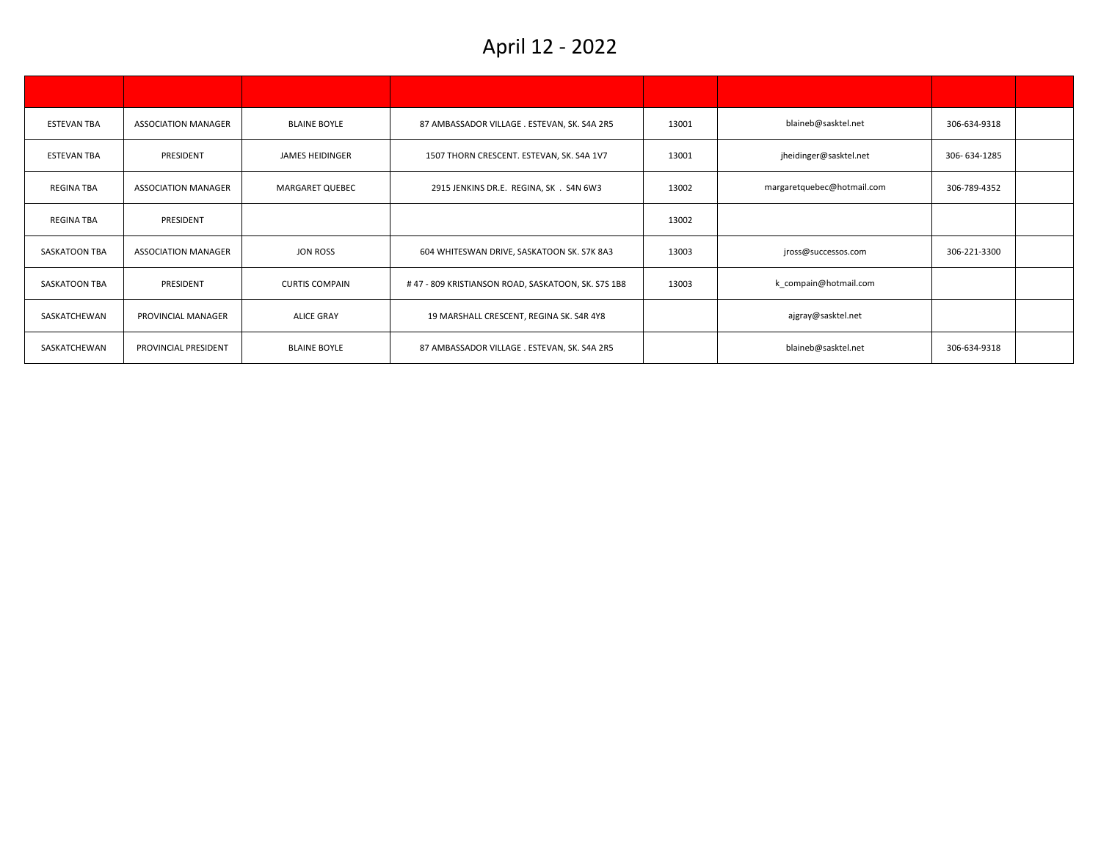| <b>ESTEVAN TBA</b> | <b>ASSOCIATION MANAGER</b> | <b>BLAINE BOYLE</b>    | 87 AMBASSADOR VILLAGE . ESTEVAN, SK. S4A 2R5       | 13001 | blaineb@sasktel.net        | 306-634-9318 |  |
|--------------------|----------------------------|------------------------|----------------------------------------------------|-------|----------------------------|--------------|--|
| <b>ESTEVAN TBA</b> | PRESIDENT                  | <b>JAMES HEIDINGER</b> | 1507 THORN CRESCENT. ESTEVAN, SK. S4A 1V7          | 13001 | jheidinger@sasktel.net     | 306-634-1285 |  |
| <b>REGINA TBA</b>  | <b>ASSOCIATION MANAGER</b> | MARGARET QUEBEC        | 2915 JENKINS DR.E. REGINA, SK . S4N 6W3            | 13002 | margaretquebec@hotmail.com | 306-789-4352 |  |
| <b>REGINA TBA</b>  | PRESIDENT                  |                        |                                                    | 13002 |                            |              |  |
| SASKATOON TBA      | <b>ASSOCIATION MANAGER</b> | JON ROSS               | 604 WHITESWAN DRIVE, SASKATOON SK. S7K 8A3         | 13003 | jross@successos.com        | 306-221-3300 |  |
| SASKATOON TBA      | PRESIDENT                  | <b>CURTIS COMPAIN</b>  | #47 - 809 KRISTIANSON ROAD, SASKATOON, SK. S7S 1B8 | 13003 | k compain@hotmail.com      |              |  |
| SASKATCHEWAN       | PROVINCIAL MANAGER         | <b>ALICE GRAY</b>      | 19 MARSHALL CRESCENT, REGINA SK. S4R 4Y8           |       | ajgray@sasktel.net         |              |  |
| SASKATCHEWAN       | PROVINCIAL PRESIDENT       | <b>BLAINE BOYLE</b>    | 87 AMBASSADOR VILLAGE . ESTEVAN, SK. S4A 2R5       |       | blaineb@sasktel.net        | 306-634-9318 |  |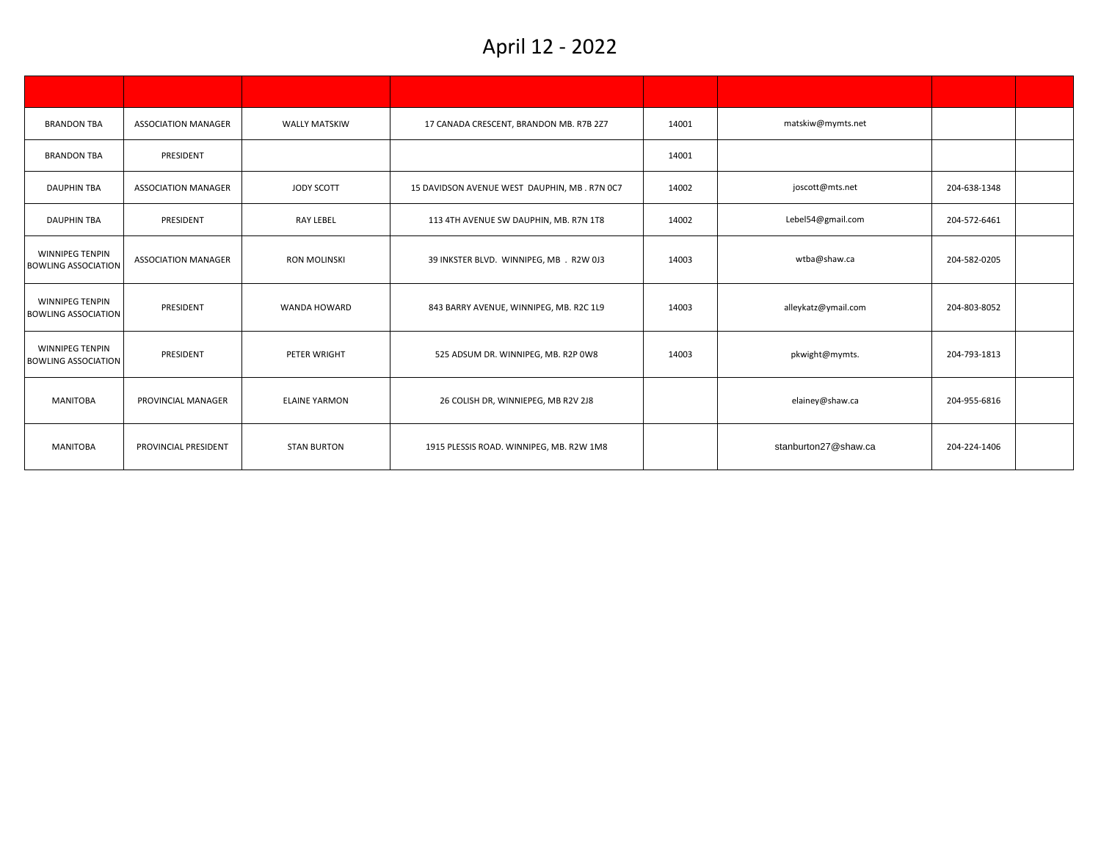| <b>BRANDON TBA</b>                                   | <b>ASSOCIATION MANAGER</b> | <b>WALLY MATSKIW</b> | 17 CANADA CRESCENT, BRANDON MB. R7B 2Z7      | 14001 | matskiw@mymts.net    |              |  |
|------------------------------------------------------|----------------------------|----------------------|----------------------------------------------|-------|----------------------|--------------|--|
| <b>BRANDON TBA</b>                                   | PRESIDENT                  |                      |                                              | 14001 |                      |              |  |
| <b>DAUPHIN TBA</b>                                   | <b>ASSOCIATION MANAGER</b> | JODY SCOTT           | 15 DAVIDSON AVENUE WEST DAUPHIN, MB. R7N 0C7 | 14002 | joscott@mts.net      | 204-638-1348 |  |
| <b>DAUPHIN TBA</b>                                   | PRESIDENT                  | <b>RAY LEBEL</b>     | 113 4TH AVENUE SW DAUPHIN, MB. R7N 1T8       | 14002 | Lebel54@gmail.com    | 204-572-6461 |  |
| <b>WINNIPEG TENPIN</b><br><b>BOWLING ASSOCIATION</b> | <b>ASSOCIATION MANAGER</b> | <b>RON MOLINSKI</b>  | 39 INKSTER BLVD. WINNIPEG, MB . R2W 0J3      | 14003 | wtba@shaw.ca         | 204-582-0205 |  |
| WINNIPEG TENPIN<br><b>BOWLING ASSOCIATION</b>        | PRESIDENT                  | WANDA HOWARD         | 843 BARRY AVENUE, WINNIPEG, MB. R2C 1L9      | 14003 | alleykatz@ymail.com  | 204-803-8052 |  |
| WINNIPEG TENPIN<br><b>BOWLING ASSOCIATION</b>        | PRESIDENT                  | PETER WRIGHT         | 525 ADSUM DR. WINNIPEG, MB. R2P 0W8          | 14003 | pkwight@mymts.       | 204-793-1813 |  |
| <b>MANITOBA</b>                                      | PROVINCIAL MANAGER         | <b>ELAINE YARMON</b> | 26 COLISH DR, WINNIEPEG, MB R2V 2J8          |       | elainey@shaw.ca      | 204-955-6816 |  |
| <b>MANITOBA</b>                                      | PROVINCIAL PRESIDENT       | <b>STAN BURTON</b>   | 1915 PLESSIS ROAD. WINNIPEG, MB. R2W 1M8     |       | stanburton27@shaw.ca | 204-224-1406 |  |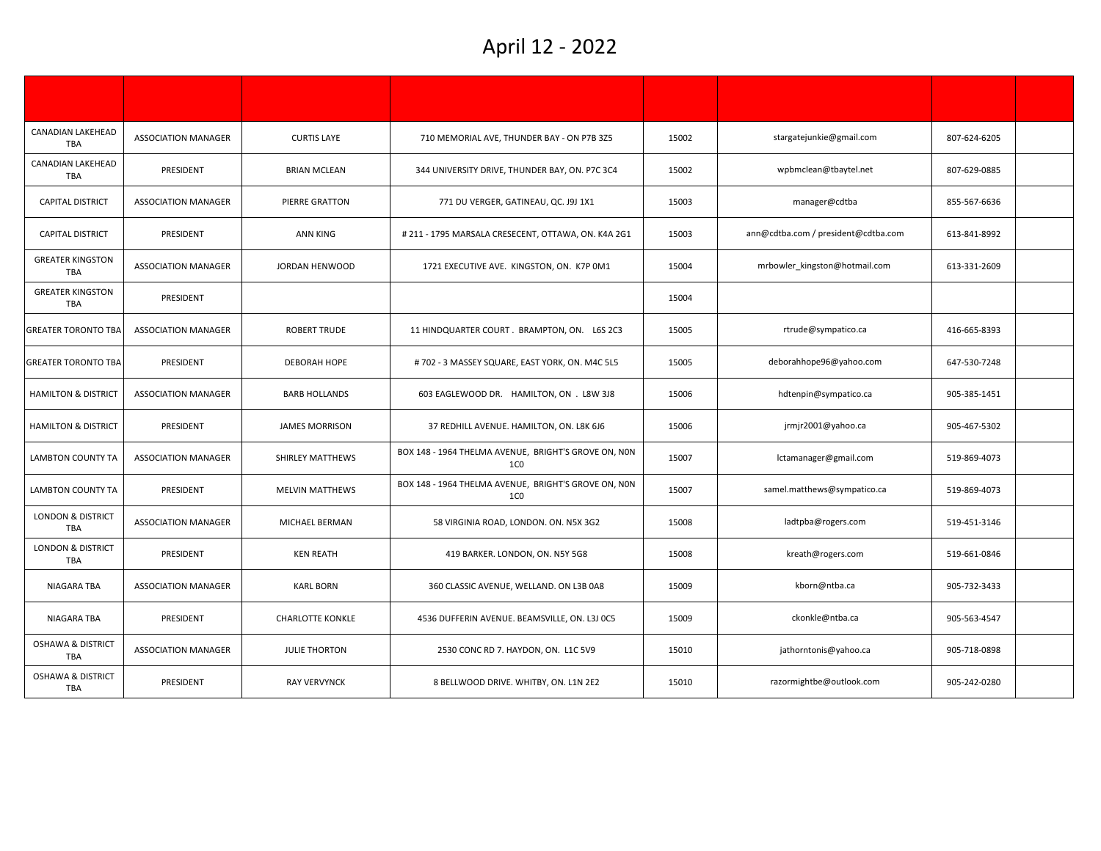| CANADIAN LAKEHEAD<br><b>TBA</b>            | <b>ASSOCIATION MANAGER</b> | <b>CURTIS LAYE</b>      | 710 MEMORIAL AVE, THUNDER BAY - ON P7B 3Z5                              | 15002 | stargatejunkie@gmail.com            | 807-624-6205 |  |
|--------------------------------------------|----------------------------|-------------------------|-------------------------------------------------------------------------|-------|-------------------------------------|--------------|--|
| CANADIAN LAKEHEAD<br><b>TBA</b>            | PRESIDENT                  | <b>BRIAN MCLEAN</b>     | 344 UNIVERSITY DRIVE, THUNDER BAY, ON. P7C 3C4                          | 15002 | wpbmclean@tbaytel.net               | 807-629-0885 |  |
| <b>CAPITAL DISTRICT</b>                    | <b>ASSOCIATION MANAGER</b> | PIERRE GRATTON          | 771 DU VERGER, GATINEAU, QC. J9J 1X1                                    | 15003 | manager@cdtba                       | 855-567-6636 |  |
| <b>CAPITAL DISTRICT</b>                    | PRESIDENT                  | ANN KING                | # 211 - 1795 MARSALA CRESECENT, OTTAWA, ON. K4A 2G1                     | 15003 | ann@cdtba.com / president@cdtba.com | 613-841-8992 |  |
| <b>GREATER KINGSTON</b><br><b>TBA</b>      | <b>ASSOCIATION MANAGER</b> | JORDAN HENWOOD          | 1721 EXECUTIVE AVE. KINGSTON, ON. K7P 0M1                               | 15004 | mrbowler kingston@hotmail.com       | 613-331-2609 |  |
| <b>GREATER KINGSTON</b><br><b>TBA</b>      | PRESIDENT                  |                         |                                                                         | 15004 |                                     |              |  |
| <b>GREATER TORONTO TBA</b>                 | <b>ASSOCIATION MANAGER</b> | <b>ROBERT TRUDE</b>     | 11 HINDQUARTER COURT. BRAMPTON, ON. L6S 2C3                             | 15005 | rtrude@sympatico.ca                 | 416-665-8393 |  |
| <b>GREATER TORONTO TBA</b>                 | PRESIDENT                  | DEBORAH HOPE            | #702 - 3 MASSEY SQUARE, EAST YORK, ON. M4C 5L5                          | 15005 | deborahhope96@yahoo.com             | 647-530-7248 |  |
| <b>HAMILTON &amp; DISTRICT</b>             | <b>ASSOCIATION MANAGER</b> | <b>BARB HOLLANDS</b>    | 603 EAGLEWOOD DR. HAMILTON, ON . L8W 3J8                                | 15006 | hdtenpin@sympatico.ca               | 905-385-1451 |  |
| <b>HAMILTON &amp; DISTRICT</b>             | PRESIDENT                  | <b>JAMES MORRISON</b>   | 37 REDHILL AVENUE. HAMILTON, ON. L8K 6J6                                | 15006 | jrmjr2001@yahoo.ca                  | 905-467-5302 |  |
| <b>LAMBTON COUNTY TA</b>                   | <b>ASSOCIATION MANAGER</b> | SHIRLEY MATTHEWS        | BOX 148 - 1964 THELMA AVENUE, BRIGHT'S GROVE ON, NON<br>1 <sub>CO</sub> | 15007 | lctamanager@gmail.com               | 519-869-4073 |  |
| <b>LAMBTON COUNTY TA</b>                   | PRESIDENT                  | <b>MELVIN MATTHEWS</b>  | BOX 148 - 1964 THELMA AVENUE, BRIGHT'S GROVE ON, NON<br>1 <sub>CO</sub> | 15007 | samel.matthews@sympatico.ca         | 519-869-4073 |  |
| <b>LONDON &amp; DISTRICT</b><br><b>TBA</b> | <b>ASSOCIATION MANAGER</b> | MICHAEL BERMAN          | 58 VIRGINIA ROAD, LONDON. ON. N5X 3G2                                   | 15008 | ladtpba@rogers.com                  | 519-451-3146 |  |
| <b>LONDON &amp; DISTRICT</b><br><b>TBA</b> | PRESIDENT                  | <b>KEN REATH</b>        | 419 BARKER. LONDON, ON. N5Y 5G8                                         | 15008 | kreath@rogers.com                   | 519-661-0846 |  |
| NIAGARA TBA                                | ASSOCIATION MANAGER        | <b>KARL BORN</b>        | 360 CLASSIC AVENUE, WELLAND. ON L3B 0A8                                 | 15009 | kborn@ntba.ca                       | 905-732-3433 |  |
| NIAGARA TBA                                | PRESIDENT                  | <b>CHARLOTTE KONKLE</b> | 4536 DUFFERIN AVENUE. BEAMSVILLE, ON. L3J 0C5                           | 15009 | ckonkle@ntba.ca                     | 905-563-4547 |  |
| <b>OSHAWA &amp; DISTRICT</b><br><b>TBA</b> | <b>ASSOCIATION MANAGER</b> | <b>JULIE THORTON</b>    | 2530 CONC RD 7. HAYDON, ON. L1C 5V9                                     | 15010 | jathorntonis@yahoo.ca               | 905-718-0898 |  |
| <b>OSHAWA &amp; DISTRICT</b><br><b>TBA</b> | PRESIDENT                  | <b>RAY VERVYNCK</b>     | 8 BELLWOOD DRIVE. WHITBY, ON. L1N 2E2                                   | 15010 | razormightbe@outlook.com            | 905-242-0280 |  |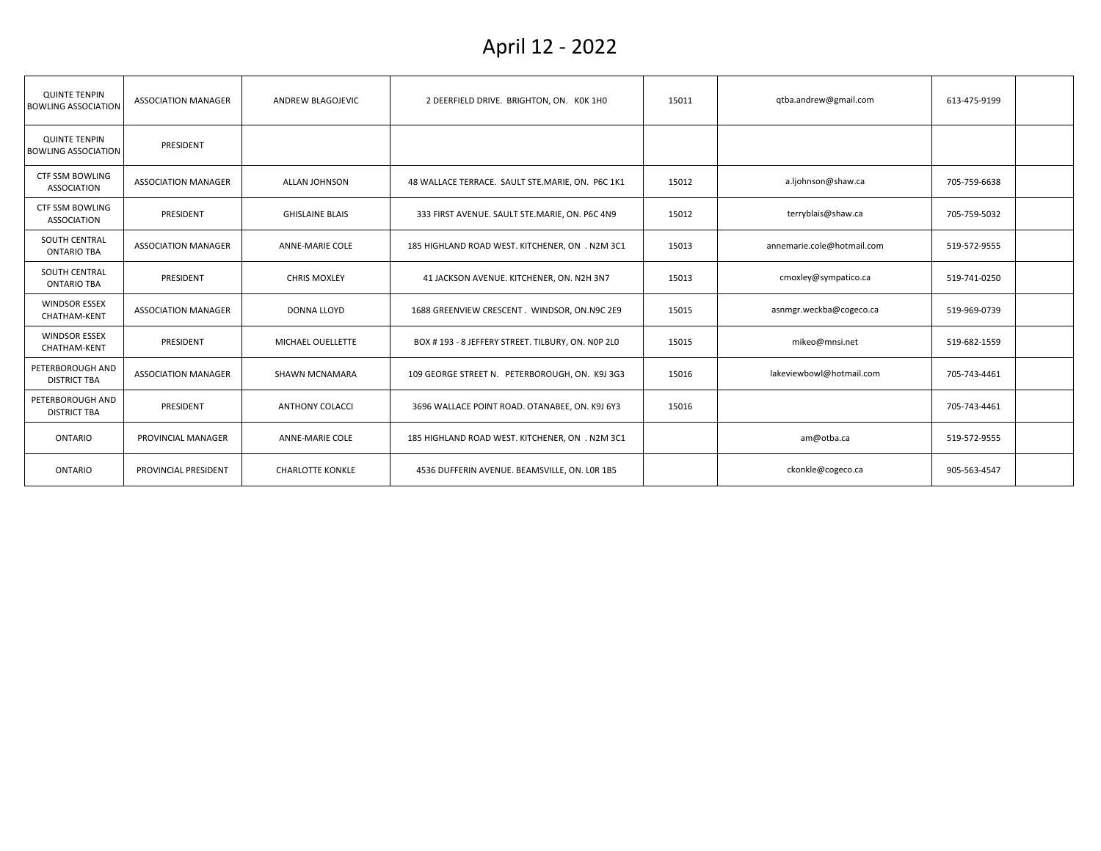| <b>QUINTE TENPIN</b><br><b>BOWLING ASSOCIATION</b> | <b>ASSOCIATION MANAGER</b> | ANDREW BLAGOJEVIC       | 2 DEERFIELD DRIVE. BRIGHTON, ON. KOK 1HO          | 15011 | qtba.andrew@gmail.com      | 613-475-9199 |  |
|----------------------------------------------------|----------------------------|-------------------------|---------------------------------------------------|-------|----------------------------|--------------|--|
| <b>QUINTE TENPIN</b><br><b>BOWLING ASSOCIATION</b> | PRESIDENT                  |                         |                                                   |       |                            |              |  |
| <b>CTF SSM BOWLING</b><br><b>ASSOCIATION</b>       | <b>ASSOCIATION MANAGER</b> | ALLAN JOHNSON           | 48 WALLACE TERRACE. SAULT STE.MARIE, ON. P6C 1K1  | 15012 | a.ljohnson@shaw.ca         | 705-759-6638 |  |
| <b>CTF SSM BOWLING</b><br><b>ASSOCIATION</b>       | PRESIDENT                  | <b>GHISLAINE BLAIS</b>  | 333 FIRST AVENUE. SAULT STE.MARIE, ON. P6C 4N9    | 15012 | terryblais@shaw.ca         | 705-759-5032 |  |
| <b>SOUTH CENTRAL</b><br><b>ONTARIO TBA</b>         | <b>ASSOCIATION MANAGER</b> | <b>ANNE-MARIE COLE</b>  | 185 HIGHLAND ROAD WEST. KITCHENER, ON . N2M 3C1   | 15013 | annemarie.cole@hotmail.com | 519-572-9555 |  |
| SOUTH CENTRAL<br><b>ONTARIO TBA</b>                | PRESIDENT                  | <b>CHRIS MOXLEY</b>     | 41 JACKSON AVENUE. KITCHENER, ON. N2H 3N7         | 15013 | cmoxley@sympatico.ca       | 519-741-0250 |  |
| <b>WINDSOR ESSEX</b><br><b>CHATHAM-KENT</b>        | <b>ASSOCIATION MANAGER</b> | <b>DONNA LLOYD</b>      | 1688 GREENVIEW CRESCENT . WINDSOR, ON N9C 2E9     | 15015 | asnmgr.weckba@cogeco.ca    | 519-969-0739 |  |
| <b>WINDSOR ESSEX</b><br>CHATHAM-KENT               | PRESIDENT                  | MICHAEL OUELLETTE       | BOX #193 - 8 JEFFERY STREET. TILBURY, ON. NOP 2L0 | 15015 | mikeo@mnsi.net             | 519-682-1559 |  |
| PETERBOROUGH AND<br><b>DISTRICT TBA</b>            | <b>ASSOCIATION MANAGER</b> | <b>SHAWN MCNAMARA</b>   | 109 GEORGE STREET N. PETERBOROUGH, ON. K9J 3G3    | 15016 | lakeviewbowl@hotmail.com   | 705-743-4461 |  |
| PETERBOROUGH AND<br><b>DISTRICT TBA</b>            | PRESIDENT                  | <b>ANTHONY COLACCI</b>  | 3696 WALLACE POINT ROAD. OTANABEE, ON. K9J 6Y3    | 15016 |                            | 705-743-4461 |  |
| ONTARIO                                            | PROVINCIAL MANAGER         | <b>ANNE-MARIE COLE</b>  | 185 HIGHLAND ROAD WEST. KITCHENER, ON . N2M 3C1   |       | am@otba.ca                 | 519-572-9555 |  |
| <b>ONTARIO</b>                                     | PROVINCIAL PRESIDENT       | <b>CHARLOTTE KONKLE</b> | 4536 DUFFERIN AVENUE. BEAMSVILLE, ON. LOR 1B5     |       | ckonkle@cogeco.ca          | 905-563-4547 |  |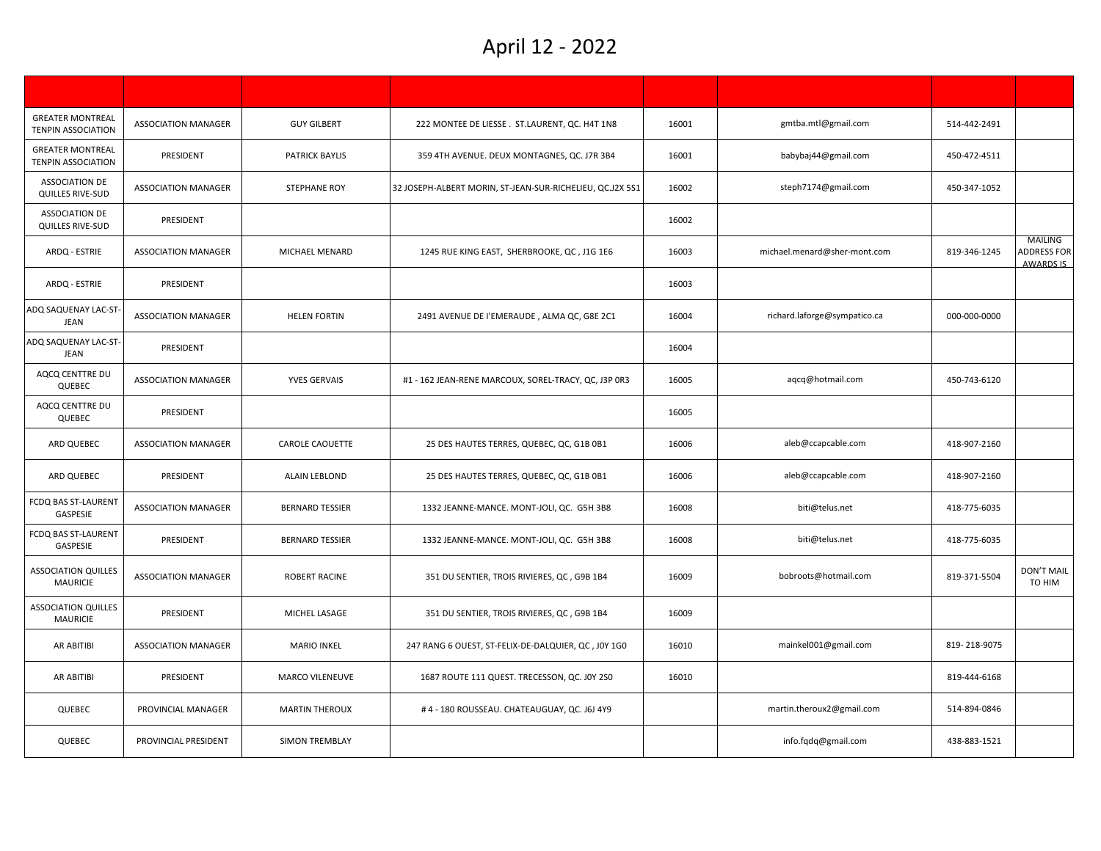| <b>GREATER MONTREAL</b><br><b>TENPIN ASSOCIATION</b> | <b>ASSOCIATION MANAGER</b> | <b>GUY GILBERT</b>     | 222 MONTEE DE LIESSE. ST.LAURENT, QC. H4T 1N8             | 16001 | gmtba.mtl@gmail.com          | 514-442-2491 |                                                          |
|------------------------------------------------------|----------------------------|------------------------|-----------------------------------------------------------|-------|------------------------------|--------------|----------------------------------------------------------|
| <b>GREATER MONTREAL</b><br><b>TENPIN ASSOCIATION</b> | PRESIDENT                  | <b>PATRICK BAYLIS</b>  | 359 4TH AVENUE. DEUX MONTAGNES, QC. J7R 3B4               | 16001 | babybaj44@gmail.com          | 450-472-4511 |                                                          |
| <b>ASSOCIATION DE</b><br>QUILLES RIVE-SUD            | <b>ASSOCIATION MANAGER</b> | <b>STEPHANE ROY</b>    | 32 JOSEPH-ALBERT MORIN, ST-JEAN-SUR-RICHELIEU, QC.J2X 5S1 | 16002 | steph7174@gmail.com          | 450-347-1052 |                                                          |
| <b>ASSOCIATION DE</b><br>QUILLES RIVE-SUD            | PRESIDENT                  |                        |                                                           | 16002 |                              |              |                                                          |
| ARDQ - ESTRIE                                        | <b>ASSOCIATION MANAGER</b> | MICHAEL MENARD         | 1245 RUE KING EAST, SHERBROOKE, QC, J1G 1E6               | 16003 | michael.menard@sher-mont.com | 819-346-1245 | <b>MAILING</b><br><b>ADDRESS FOR</b><br><b>AWARDS IS</b> |
| ARDQ - ESTRIE                                        | PRESIDENT                  |                        |                                                           | 16003 |                              |              |                                                          |
| ADQ SAQUENAY LAC-ST<br><b>JEAN</b>                   | <b>ASSOCIATION MANAGER</b> | <b>HELEN FORTIN</b>    | 2491 AVENUE DE l'EMERAUDE, ALMA QC, G8E 2C1               | 16004 | richard.laforge@sympatico.ca | 000-000-0000 |                                                          |
| ADQ SAQUENAY LAC-ST<br><b>JEAN</b>                   | PRESIDENT                  |                        |                                                           | 16004 |                              |              |                                                          |
| AQCQ CENTTRE DU<br><b>QUEBEC</b>                     | <b>ASSOCIATION MANAGER</b> | <b>YVES GERVAIS</b>    | #1 - 162 JEAN-RENE MARCOUX, SOREL-TRACY, QC, J3P 0R3      | 16005 | aqcq@hotmail.com             | 450-743-6120 |                                                          |
| AQCQ CENTTRE DU<br>QUEBEC                            | PRESIDENT                  |                        |                                                           | 16005 |                              |              |                                                          |
| ARD QUEBEC                                           | <b>ASSOCIATION MANAGER</b> | <b>CAROLE CAOUETTE</b> | 25 DES HAUTES TERRES, QUEBEC, QC, G1B 0B1                 | 16006 | aleb@ccapcable.com           | 418-907-2160 |                                                          |
| ARD QUEBEC                                           | PRESIDENT                  | <b>ALAIN LEBLOND</b>   | 25 DES HAUTES TERRES, QUEBEC, QC, G1B 0B1                 | 16006 | aleb@ccapcable.com           | 418-907-2160 |                                                          |
| FCDQ BAS ST-LAURENT<br>GASPESIE                      | <b>ASSOCIATION MANAGER</b> | <b>BERNARD TESSIER</b> | 1332 JEANNE-MANCE. MONT-JOLI, QC. G5H 3B8                 | 16008 | biti@telus.net               | 418-775-6035 |                                                          |
| FCDQ BAS ST-LAURENT<br>GASPESIE                      | PRESIDENT                  | <b>BERNARD TESSIER</b> | 1332 JEANNE-MANCE. MONT-JOLI, QC. G5H 3B8                 | 16008 | biti@telus.net               | 418-775-6035 |                                                          |
| <b>ASSOCIATION QUILLES</b><br><b>MAURICIE</b>        | <b>ASSOCIATION MANAGER</b> | <b>ROBERT RACINE</b>   | 351 DU SENTIER, TROIS RIVIERES, QC, G9B 1B4               | 16009 | bobroots@hotmail.com         | 819-371-5504 | <b>DON'T MAIL</b><br>TO HIM                              |
| <b>ASSOCIATION QUILLES</b><br><b>MAURICIE</b>        | PRESIDENT                  | MICHEL LASAGE          | 351 DU SENTIER, TROIS RIVIERES, QC, G9B 1B4               | 16009 |                              |              |                                                          |
| AR ABITIBI                                           | <b>ASSOCIATION MANAGER</b> | <b>MARIO INKEL</b>     | 247 RANG 6 OUEST, ST-FELIX-DE-DALQUIER, QC, J0Y 1G0       | 16010 | mainkel001@gmail.com         | 819-218-9075 |                                                          |
| AR ABITIBI                                           | PRESIDENT                  | MARCO VILENEUVE        | 1687 ROUTE 111 QUEST. TRECESSON, QC. J0Y 2S0              | 16010 |                              | 819-444-6168 |                                                          |
| QUEBEC                                               | PROVINCIAL MANAGER         | <b>MARTIN THEROUX</b>  | #4 - 180 ROUSSEAU. CHATEAUGUAY, QC. J6J 4Y9               |       | martin.theroux2@gmail.com    | 514-894-0846 |                                                          |
| QUEBEC                                               | PROVINCIAL PRESIDENT       | SIMON TREMBLAY         |                                                           |       | info.fqdq@gmail.com          | 438-883-1521 |                                                          |